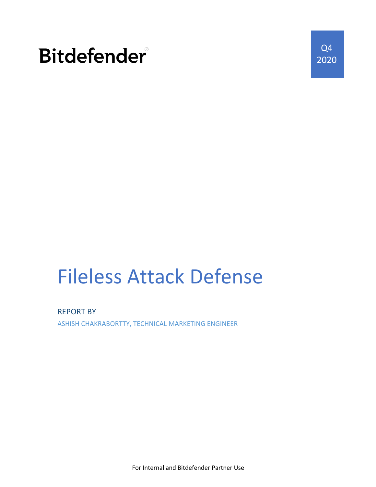## **Bitdefender**

Q4 2020

# Fileless Attack Defense

REPORT BY ASHISH CHAKRABORTTY, TECHNICAL MARKETING ENGINEER

For Internal and Bitdefender Partner Use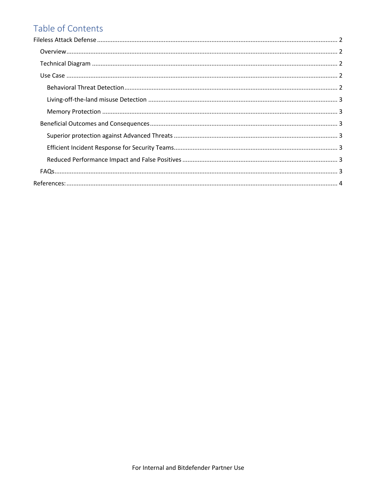## Table of Contents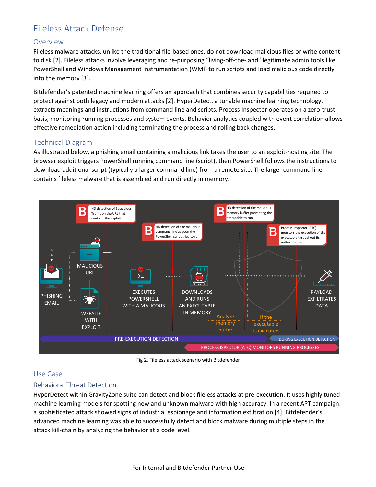### Fileless Attack Defense

#### Overview

Fileless malware attacks, unlike the traditional file-based ones, do not download malicious files or write content to disk [2]. Fileless attacks involve leveraging and re-purposing "living-off-the-land" legitimate admin tools like PowerShell and Windows Management Instrumentation (WMI) to run scripts and load malicious code directly into the memory [3].

Bitdefender's patented machine learning offers an approach that combines security capabilities required to protect against both legacy and modern attacks [2]. HyperDetect, a tunable machine learning technology, extracts meanings and instructions from command line and scripts. Process Inspector operates on a zero-trust basis, monitoring running processes and system events. Behavior analytics coupled with event correlation allows effective remediation action including terminating the process and rolling back changes.

#### Technical Diagram

As illustrated below, a phishing email containing a malicious link takes the user to an exploit-hosting site. The browser exploit triggers PowerShell running command line (script), then PowerShell follows the instructions to download additional script (typically a larger command line) from a remote site. The larger command line contains fileless malware that is assembled and run directly in memory.



Fig 2. Fileless attack scenario with Bitdefender

#### Use Case

#### Behavioral Threat Detection

HyperDetect within GravityZone suite can detect and block fileless attacks at pre-execution. It uses highly tuned machine learning models for spotting new and unknown malware with high accuracy. In a recent APT campaign, a sophisticated attack showed signs of industrial espionage and information exfiltration [4]. Bitdefender's advanced machine learning was able to successfully detect and block malware during multiple steps in the attack kill-chain by analyzing the behavior at a code level.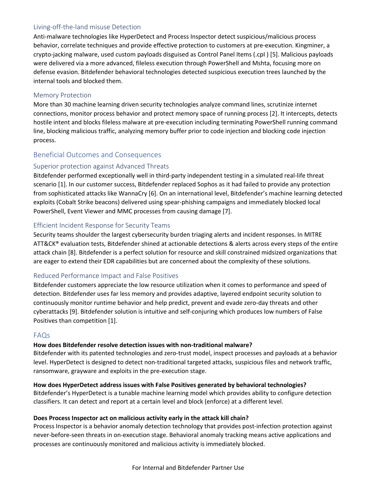#### Living-off-the-land misuse Detection

Anti-malware technologies like HyperDetect and Process Inspector detect suspicious/malicious process behavior, correlate techniques and provide effective protection to customers at pre-execution. Kingminer, a crypto-jacking malware, used custom payloads disguised as Control Panel Items (.cpI ) [5]. Malicious payloads were delivered via a more advanced, fileless execution through PowerShell and Mshta, focusing more on defense evasion. Bitdefender behavioral technologies detected suspicious execution trees launched by the internal tools and blocked them.

#### Memory Protection

More than 30 machine learning driven security technologies analyze command lines, scrutinize internet connections, monitor process behavior and protect memory space of running process [2]. It intercepts, detects hostile intent and blocks fileless malware at pre-execution including terminating PowerShell running command line, blocking malicious traffic, analyzing memory buffer prior to code injection and blocking code injection process.

#### Beneficial Outcomes and Consequences

#### Superior protection against Advanced Threats

Bitdefender performed exceptionally well in third-party independent testing in a simulated real-life threat scenario [1]. In our customer success, Bitdefender replaced Sophos as it had failed to provide any protection from sophisticated attacks like WannaCry [6]. On an international level, Bitdefender's machine learning detected exploits (Cobalt Strike beacons) delivered using spear-phishing campaigns and immediately blocked local PowerShell, Event Viewer and MMC processes from causing damage [7].

#### Efficient Incident Response for Security Teams

Security teams shoulder the largest cybersecurity burden triaging alerts and incident responses. In MITRE ATT&CK® evaluation tests, Bitdefender shined at actionable detections & alerts across every steps of the entire attack chain [8]. Bitdefender is a perfect solution for resource and skill constrained midsized organizations that are eager to extend their EDR capabilities but are concerned about the complexity of these solutions.

#### Reduced Performance Impact and False Positives

Bitdefender customers appreciate the low resource utilization when it comes to performance and speed of detection. Bitdefender uses far less memory and provides adaptive, layered endpoint security solution to continuously monitor runtime behavior and help predict, prevent and evade zero-day threats and other cyberattacks [9]. Bitdefender solution is intuitive and self-conjuring which produces low numbers of False Positives than competition [1].

#### FAQs

#### **How does Bitdefender resolve detection issues with non-traditional malware?**

Bitdefender with its patented technologies and zero-trust model, inspect processes and payloads at a behavior level. HyperDetect is designed to detect non-traditional targeted attacks, suspicious files and network traffic, ransomware, grayware and exploits in the pre-execution stage.

#### **How does HyperDetect address issues with False Positives generated by behavioral technologies?**

Bitdefender's HyperDetect is a tunable machine learning model which provides ability to configure detection classifiers. It can detect and report at a certain level and block (enforce) at a different level.

#### **Does Process Inspector act on malicious activity early in the attack kill chain?**

Process Inspector is a behavior anomaly detection technology that provides post-infection protection against never-before-seen threats in on-execution stage. Behavioral anomaly tracking means active applications and processes are continuously monitored and malicious activity is immediately blocked.